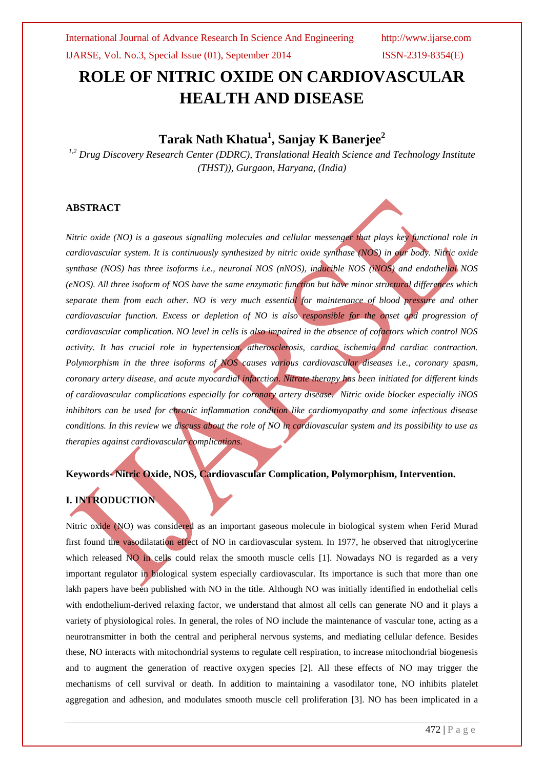# **ROLE OF NITRIC OXIDE ON CARDIOVASCULAR HEALTH AND DISEASE**

## **Tarak Nath Khatua<sup>1</sup> , Sanjay K Banerjee<sup>2</sup>**

*1,2 Drug Discovery Research Center (DDRC), Translational Health Science and Technology Institute (THST)), Gurgaon, Haryana, (India)*

#### **ABSTRACT**

*Nitric oxide (NO) is a gaseous signalling molecules and cellular messenger that plays key functional role in cardiovascular system. It is continuously synthesized by nitric oxide synthase (NOS) in our body. Nitric oxide synthase (NOS) has three isoforms i.e., neuronal NOS (nNOS), inducible NOS (iNOS) and endothelial NOS (eNOS). All three isoform of NOS have the same enzymatic function but have minor structural differences which separate them from each other. NO is very much essential for maintenance of blood pressure and other cardiovascular function. Excess or depletion of NO is also responsible for the onset and progression of cardiovascular complication. NO level in cells is also impaired in the absence of cofactors which control NOS activity. It has crucial role in hypertension, atherosclerosis, cardiac ischemia and cardiac contraction. Polymorphism in the three isoforms of NOS causes various cardiovascular diseases i.e., coronary spasm, coronary artery disease, and acute myocardial infarction. Nitrate therapy has been initiated for different kinds of cardiovascular complications especially for coronary artery disease. Nitric oxide blocker especially iNOS inhibitors can be used for chronic inflammation condition like cardiomyopathy and some infectious disease conditions. In this review we discuss about the role of NO in cardiovascular system and its possibility to use as therapies against cardiovascular complications.*

### **Keywords- Nitric Oxide, NOS, Cardiovascular Complication, Polymorphism, Intervention.**

## **I. INTRODUCTION**

Nitric oxide (NO) was considered as an important gaseous molecule in biological system when Ferid Murad first found the vasodilatation effect of NO in cardiovascular system. In 1977, he observed that nitroglycerine which released NO in cells could relax the smooth muscle cells [1]. Nowadays NO is regarded as a very important regulator in biological system especially cardiovascular. Its importance is such that more than one lakh papers have been published with NO in the title. Although NO was initially identified in endothelial cells with endothelium-derived relaxing factor, we understand that almost all cells can generate NO and it plays a variety of physiological roles. In general, the roles of NO include the maintenance of vascular tone, acting as a neurotransmitter in both the central and peripheral nervous systems, and mediating cellular defence. Besides these, NO interacts with mitochondrial systems to regulate cell respiration, to increase mitochondrial biogenesis and to augment the generation of reactive oxygen species [2]. All these effects of NO may trigger the mechanisms of cell survival or death. In addition to maintaining a vasodilator tone, NO inhibits platelet aggregation and adhesion, and modulates smooth muscle cell proliferation [3]. NO has been implicated in a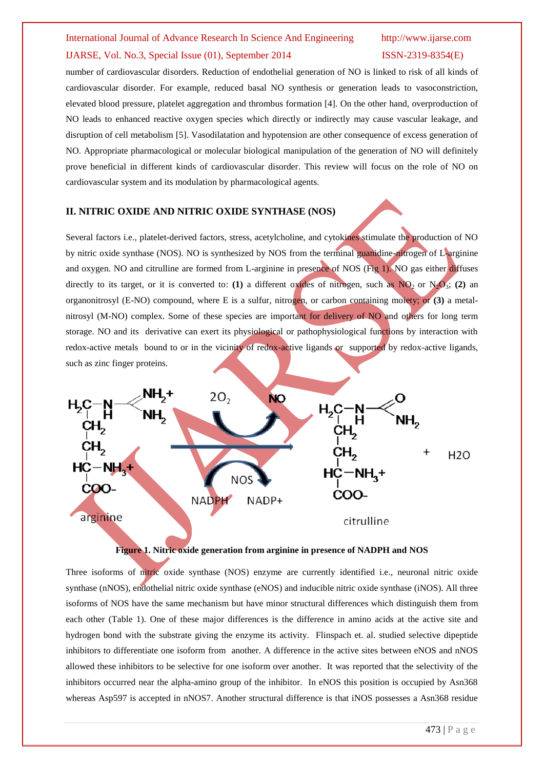number of cardiovascular disorders. Reduction of endothelial generation of NO is linked to risk of all kinds of cardiovascular disorder. For example, reduced basal NO synthesis or generation leads to vasoconstriction, elevated blood pressure, platelet aggregation and thrombus formation [4]. On the other hand, overproduction of NO leads to enhanced reactive oxygen species which directly or indirectly may cause vascular leakage, and disruption of cell metabolism [5]. Vasodilatation and hypotension are other consequence of excess generation of NO. Appropriate pharmacological or molecular biological manipulation of the generation of NO will definitely prove beneficial in different kinds of cardiovascular disorder. This review will focus on the role of NO on cardiovascular system and its modulation by pharmacological agents.

#### **II. NITRIC OXIDE AND NITRIC OXIDE SYNTHASE (NOS)**

Several factors i.e., platelet-derived factors, stress, acetylcholine, and cytokines stimulate the production of NO by nitric oxide synthase (NOS). NO is synthesized by NOS from the terminal guanidine-nitrogen of L-arginine and oxygen. NO and citrulline are formed from L-arginine in presence of NOS (Fig 1). NO gas either diffuses directly to its target, or it is converted to: **(1)** a different oxides of nitrogen, such as  $NQ_2$  or  $N_2Q_3$ ; **(2)** an organonitrosyl (E-NO) compound, where E is a sulfur, nitrogen, or carbon containing moiety; or **(3)** a metalnitrosyl (M-NO) complex. Some of these species are important for delivery of NO and others for long term storage. NO and its derivative can exert its physiological or pathophysiological functions by interaction with redox-active metals bound to or in the vicinity of redox-active ligands or supported by redox-active ligands, such as zinc finger proteins.



#### **Figure 1. Nitric oxide generation from arginine in presence of NADPH and NOS**

Three isoforms of nitric oxide synthase (NOS) enzyme are currently identified i.e., neuronal nitric oxide synthase (nNOS), endothelial nitric oxide synthase (eNOS) and inducible nitric oxide synthase (iNOS). All three isoforms of NOS have the same mechanism but have minor structural differences which distinguish them from each other (Table 1). One of these major differences is the difference in amino acids at the active site and hydrogen bond with the substrate giving the enzyme its activity. Flinspach et. al. studied selective dipeptide inhibitors to differentiate one isoform from another. A difference in the active sites between eNOS and nNOS allowed these inhibitors to be selective for one isoform over another. It was reported that the selectivity of the inhibitors occurred near the alpha-amino group of the inhibitor. In eNOS this position is occupied by Asn368 whereas Asp597 is accepted in nNOS7. Another structural difference is that iNOS possesses a Asn368 residue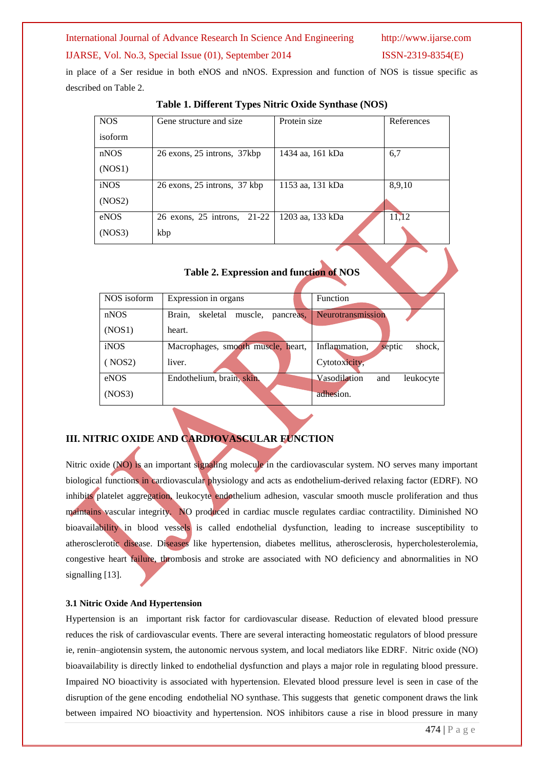### International Journal of Advance Research In Science And Engineering http://www.ijarse.com

#### IJARSE, Vol. No.3, Special Issue (01), September 2014 ISSN-2319-8354(E)

in place of a Ser residue in both eNOS and nNOS. Expression and function of NOS is tissue specific as described on Table 2.

| <b>NOS</b> | Gene structure and size        | Protein size     | References |
|------------|--------------------------------|------------------|------------|
| isoform    |                                |                  |            |
| nNOS       | 26 exons, 25 introns, 37kbp    | 1434 aa, 161 kDa | 6,7        |
| (NOS1)     |                                |                  |            |
| iNOS       | 26 exons, 25 introns, 37 kbp   | 1153 aa, 131 kDa | 8,9,10     |
| (NOS2)     |                                |                  |            |
| eNOS       | 26 exons, 25 introns,<br>21-22 | 1203 aa, 133 kDa | 11,12      |
| (NOS3)     | kbp                            |                  |            |

#### **Table 1. Different Types Nitric Oxide Synthase (NOS)**

### **Table 2. Expression and function of NOS**

| NOS isoform | Expression in organs                       | <b>Function</b>                   |
|-------------|--------------------------------------------|-----------------------------------|
|             |                                            |                                   |
| nNOS        | skeletal<br>Brain,<br>muscle,<br>pancreas, | Neurotransmission                 |
| (NOS1)      | heart.                                     |                                   |
| iNOS        | Macrophages, smooth muscle, heart,         | septic<br>shock,<br>Inflammation. |
| ( NOS2)     | liver.                                     | Cytotoxicity,                     |
| eNOS        | Endothelium, brain, skin.                  | Vasodilation<br>leukocyte<br>and  |
| (NOS3)      |                                            | adhesion.                         |

#### **III. NITRIC OXIDE AND CARDIOVASCULAR FUNCTION**

Nitric oxide (NO) is an important signaling molecule in the cardiovascular system. NO serves many important biological functions in cardiovascular physiology and acts as endothelium-derived relaxing factor (EDRF). NO inhibits platelet aggregation, leukocyte endothelium adhesion, vascular smooth muscle proliferation and thus maintains vascular integrity. NO produced in cardiac muscle regulates cardiac contractility. Diminished NO bioavailability in blood vessels is called endothelial dysfunction, leading to increase susceptibility to atherosclerotic disease. Diseases like hypertension, diabetes mellitus, atherosclerosis, hypercholesterolemia, congestive heart failure, thrombosis and stroke are associated with NO deficiency and abnormalities in NO signalling [13].

#### **3.1 Nitric Oxide And Hypertension**

Hypertension is an important risk factor for cardiovascular disease. Reduction of elevated blood pressure reduces the risk of cardiovascular events. There are several interacting homeostatic regulators of blood pressure ie, renin–angiotensin system, the autonomic nervous system, and local mediators like EDRF. Nitric oxide (NO) bioavailability is directly linked to endothelial dysfunction and plays a major role in regulating blood pressure. Impaired NO bioactivity is associated with hypertension. Elevated blood pressure level is seen in case of the disruption of the gene encoding endothelial NO synthase. This suggests that genetic component draws the link between impaired NO bioactivity and hypertension. NOS inhibitors cause a rise in blood pressure in many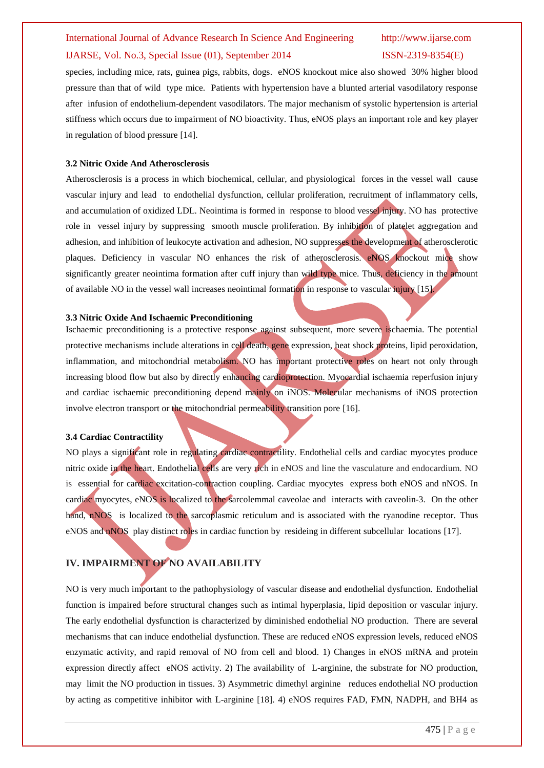species, including mice, rats, guinea pigs, rabbits, dogs. eNOS knockout mice also showed 30% higher blood pressure than that of wild type mice. Patients with hypertension have a blunted arterial vasodilatory response after infusion of endothelium-dependent vasodilators. The major mechanism of systolic hypertension is arterial stiffness which occurs due to impairment of NO bioactivity. Thus, eNOS plays an important role and key player in regulation of blood pressure [14].

#### **3.2 Nitric Oxide And Atherosclerosis**

Atherosclerosis is a process in which biochemical, cellular, and physiological forces in the vessel wall cause vascular injury and lead to endothelial dysfunction, cellular proliferation, recruitment of inflammatory cells, and accumulation of oxidized LDL. Neointima is formed in response to blood vessel injury. NO has protective role in vessel injury by suppressing smooth muscle proliferation. By inhibition of platelet aggregation and adhesion, and inhibition of leukocyte activation and adhesion, NO suppresses the development of atherosclerotic plaques. Deficiency in vascular NO enhances the risk of atherosclerosis. eNOS knockout mice show significantly greater neointima formation after cuff injury than wild type mice. Thus, deficiency in the amount of available NO in the vessel wall increases neointimal formation in response to vascular injury [15].

#### **3.3 Nitric Oxide And Ischaemic Preconditioning**

Ischaemic preconditioning is a protective response against subsequent, more severe ischaemia. The potential protective mechanisms include alterations in cell death, gene expression, heat shock proteins, lipid peroxidation, inflammation, and mitochondrial metabolism. NO has important protective roles on heart not only through increasing blood flow but also by directly enhancing cardioprotection. Myocardial ischaemia reperfusion injury and cardiac ischaemic preconditioning depend mainly on iNOS. Molecular mechanisms of iNOS protection involve electron transport or the mitochondrial permeability transition pore [16].

#### **3.4 Cardiac Contractility**

NO plays a significant role in regulating cardiac contractility. Endothelial cells and cardiac myocytes produce nitric oxide in the heart. Endothelial cells are very rich in eNOS and line the vasculature and endocardium. NO is essential for cardiac excitation-contraction coupling. Cardiac myocytes express both eNOS and nNOS. In cardiac myocytes, eNOS is localized to the sarcolemmal caveolae and interacts with caveolin-3. On the other hand, nNOS is localized to the sarcoplasmic reticulum and is associated with the ryanodine receptor. Thus eNOS and nNOS play distinct roles in cardiac function by resideing in different subcellular locations [17].

#### **IV. IMPAIRMENT OF NO AVAILABILITY**

NO is very much important to the pathophysiology of vascular disease and endothelial dysfunction. Endothelial function is impaired before structural changes such as intimal hyperplasia, lipid deposition or vascular injury. The early endothelial dysfunction is characterized by diminished endothelial NO production. There are several mechanisms that can induce endothelial dysfunction. These are reduced eNOS expression levels, reduced eNOS enzymatic activity, and rapid removal of NO from cell and blood. 1) Changes in eNOS mRNA and protein expression directly affect eNOS activity. 2) The availability of L-arginine, the substrate for NO production, may limit the NO production in tissues. 3) Asymmetric dimethyl arginine reduces endothelial NO production by acting as competitive inhibitor with L-arginine [18]. 4) eNOS requires FAD, FMN, NADPH, and BH4 as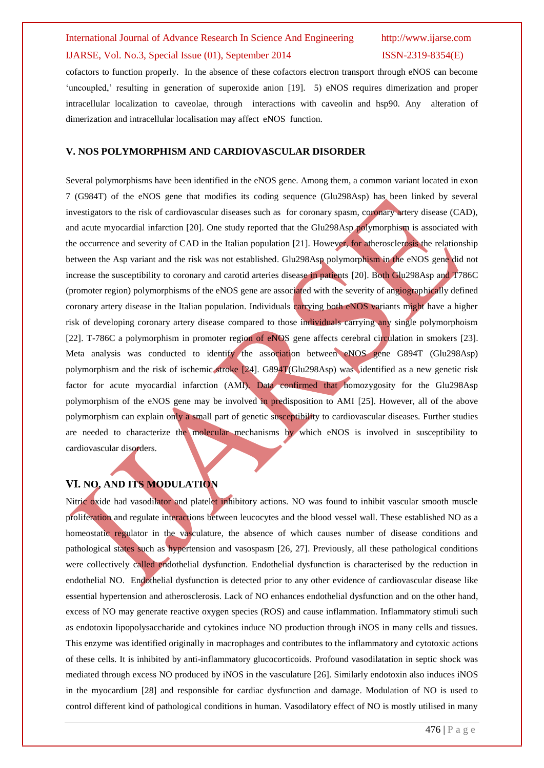cofactors to function properly. In the absence of these cofactors electron transport through eNOS can become 'uncoupled,' resulting in generation of superoxide anion [19]. 5) eNOS requires dimerization and proper intracellular localization to caveolae, through interactions with caveolin and hsp90. Any alteration of dimerization and intracellular localisation may affect eNOS function.

#### **V. NOS POLYMORPHISM AND CARDIOVASCULAR DISORDER**

Several polymorphisms have been identified in the eNOS gene. Among them, a common variant located in exon 7 (G984T) of the eNOS gene that modifies its coding sequence (Glu298Asp) has been linked by several investigators to the risk of cardiovascular diseases such as for coronary spasm, coronary artery disease (CAD), and acute myocardial infarction [20]. One study reported that the Glu298Asp polymorphism is associated with the occurrence and severity of CAD in the Italian population [21]. However, for atherosclerosis the relationship between the Asp variant and the risk was not established. Glu298Asp polymorphism in the eNOS gene did not increase the susceptibility to coronary and carotid arteries disease in patients [20]. Both Glu298Asp and T786C (promoter region) polymorphisms of the eNOS gene are associated with the severity of angiographically defined coronary artery disease in the Italian population. Individuals carrying both eNOS variants might have a higher risk of developing coronary artery disease compared to those individuals carrying any single polymorphoism [22]. T-786C a polymorphism in promoter region of eNOS gene affects cerebral circulation in smokers [23]. Meta analysis was conducted to identify the association between eNOS gene G894T (Glu298Asp) polymorphism and the risk of ischemic stroke [24]. G894T(Glu298Asp) was identified as a new genetic risk factor for acute myocardial infarction (AMI). Data confirmed that homozygosity for the Glu298Asp polymorphism of the eNOS gene may be involved in predisposition to AMI [25]. However, all of the above polymorphism can explain only a small part of genetic susceptibility to cardiovascular diseases. Further studies are needed to characterize the molecular mechanisms by which eNOS is involved in susceptibility to cardiovascular disorders.

### **VI. NO, AND ITS MODULATION**

Nitric oxide had vasodilator and platelet inhibitory actions. NO was found to inhibit vascular smooth muscle proliferation and regulate interactions between leucocytes and the blood vessel wall. These established NO as a homeostatic regulator in the vasculature, the absence of which causes number of disease conditions and pathological states such as hypertension and vasospasm [26, 27]. Previously, all these pathological conditions were collectively called endothelial dysfunction. Endothelial dysfunction is characterised by the reduction in endothelial NO. Endothelial dysfunction is detected prior to any other evidence of cardiovascular disease like essential hypertension and atherosclerosis. Lack of NO enhances endothelial dysfunction and on the other hand, excess of NO may generate reactive oxygen species (ROS) and cause inflammation. Inflammatory stimuli such as endotoxin lipopolysaccharide and cytokines induce NO production through iNOS in many cells and tissues. This enzyme was identified originally in macrophages and contributes to the inflammatory and cytotoxic actions of these cells. It is inhibited by anti-inflammatory glucocorticoids. Profound vasodilatation in septic shock was mediated through excess NO produced by iNOS in the vasculature [26]. Similarly endotoxin also induces iNOS in the myocardium [28] and responsible for cardiac dysfunction and damage. Modulation of NO is used to control different kind of pathological conditions in human. Vasodilatory effect of NO is mostly utilised in many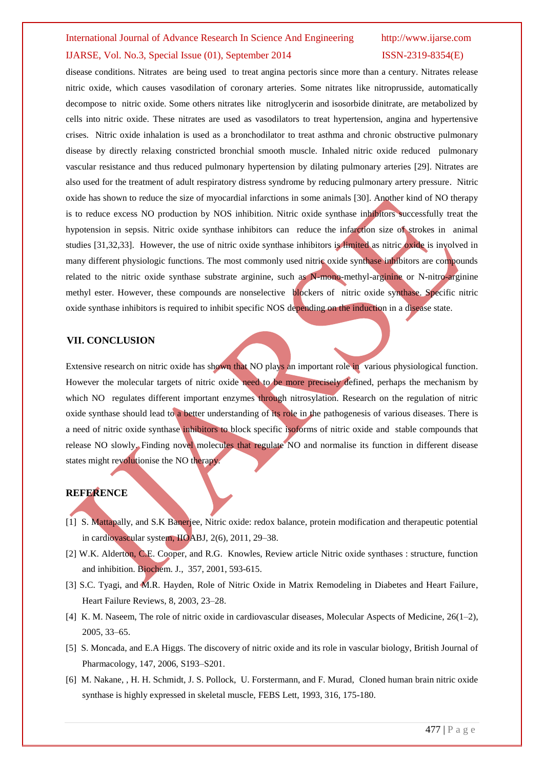disease conditions. Nitrates are being used to treat angina pectoris since more than a century. Nitrates release nitric oxide, which causes vasodilation of coronary arteries. Some nitrates like nitroprusside, automatically decompose to nitric oxide. Some others nitrates like nitroglycerin and isosorbide dinitrate, are metabolized by cells into nitric oxide. These nitrates are used as vasodilators to treat hypertension, angina and hypertensive crises. Nitric oxide inhalation is used as a bronchodilator to treat asthma and chronic obstructive pulmonary disease by directly relaxing constricted bronchial smooth muscle. Inhaled nitric oxide reduced pulmonary vascular resistance and thus reduced pulmonary hypertension by dilating pulmonary arteries [29]. Nitrates are also used for the treatment of adult respiratory distress syndrome by reducing pulmonary artery pressure. Nitric oxide has shown to reduce the size of myocardial infarctions in some animals [30]. Another kind of NO therapy is to reduce excess NO production by NOS inhibition. Nitric oxide synthase inhibitors successfully treat the hypotension in sepsis. Nitric oxide synthase inhibitors can reduce the infarction size of strokes in animal studies [31,32,33]. However, the use of nitric oxide synthase inhibitors is limited as nitric oxide is involved in many different physiologic functions. The most commonly used nitric oxide synthase inhibitors are compounds related to the nitric oxide synthase substrate arginine, such as N-mono-methyl-arginine or N-nitro-arginine methyl ester. However, these compounds are nonselective blockers of nitric oxide synthase. Specific nitric oxide synthase inhibitors is required to inhibit specific NOS depending on the induction in a disease state.

#### **VII. CONCLUSION**

Extensive research on nitric oxide has shown that NO plays an important role in various physiological function. However the molecular targets of nitric oxide need to be more precisely defined, perhaps the mechanism by which NO regulates different important enzymes through nitrosylation. Research on the regulation of nitric oxide synthase should lead to a better understanding of its role in the pathogenesis of various diseases. There is a need of nitric oxide synthase inhibitors to block specific isoforms of nitric oxide and stable compounds that release NO slowly. Finding novel molecules that regulate NO and normalise its function in different disease states might revolutionise the NO therapy.

#### **REFERENCE**

- [1] S. Mattapally, and S.K Banerjee, Nitric oxide: redox balance, protein modification and therapeutic potential in cardiovascular system, IIOABJ, 2(6), 2011, 29–38.
- [2] W.K. Alderton, C.E. Cooper, and R.G. Knowles, Review article Nitric oxide synthases : structure, function and inhibition. Biochem. J., 357, 2001, 593-615.
- [3] S.C. Tyagi, and M.R. Hayden, Role of Nitric Oxide in Matrix Remodeling in Diabetes and Heart Failure, Heart Failure Reviews, 8, 2003, 23–28.
- [4] K. M. Naseem, The role of nitric oxide in cardiovascular diseases, Molecular Aspects of Medicine, 26(1–2), 2005, 33–65.
- [5] S. Moncada, and E.A Higgs. The discovery of nitric oxide and its role in vascular biology, British Journal of Pharmacology, 147, 2006, S193–S201.
- [6] M. Nakane, , H. H. Schmidt, J. S. Pollock, U. Forstermann, and F. Murad, Cloned human brain nitric oxide synthase is highly expressed in skeletal muscle, FEBS Lett, 1993, 316, 175-180.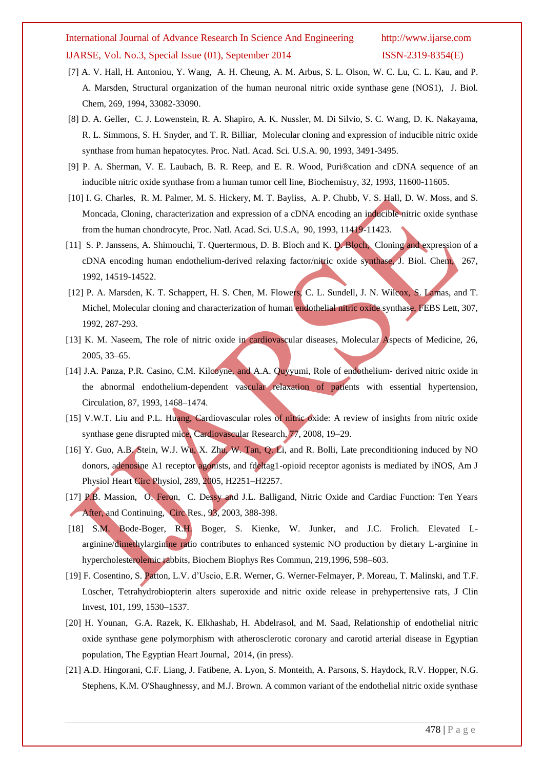- [7] A. V. Hall, H. Antoniou, Y. Wang, A. H. Cheung, A. M. Arbus, S. L. Olson, W. C. Lu, C. L. Kau, and P. A. Marsden, Structural organization of the human neuronal nitric oxide synthase gene (NOS1), J. Biol. Chem, 269, 1994, 33082-33090.
- [8] D. A. Geller, C. J. Lowenstein, R. A. Shapiro, A. K. Nussler, M. Di Silvio, S. C. Wang, D. K. Nakayama, R. L. Simmons, S. H. Snyder, and T. R. Billiar, Molecular cloning and expression of inducible nitric oxide synthase from human hepatocytes. Proc. Natl. Acad. Sci. U.S.A. 90, 1993, 3491-3495.
- [9] P. A. Sherman, V. E. Laubach, B. R. Reep, and E. R. Wood, Puri®cation and cDNA sequence of an inducible nitric oxide synthase from a human tumor cell line, Biochemistry, 32, 1993, 11600-11605.
- [10] I. G. Charles, R. M. Palmer, M. S. Hickery, M. T. Bayliss, A. P. Chubb, V. S. Hall, D. W. Moss, and S. Moncada, Cloning, characterization and expression of a cDNA encoding an inducible nitric oxide synthase from the human chondrocyte, Proc. Natl. Acad. Sci. U.S.A, 90, 1993, 11419-11423.
- [11] S. P. Janssens, A. Shimouchi, T. Quertermous, D. B. Bloch and K. D. Bloch, Cloning and expression of a cDNA encoding human endothelium-derived relaxing factor/nitric oxide synthase, J. Biol. Chem, 267, 1992, 14519-14522.
- [12] P. A. Marsden, K. T. Schappert, H. S. Chen, M. Flowers, C. L. Sundell, J. N. Wilcox, S. Lamas, and T. Michel, Molecular cloning and characterization of human endothelial nitric oxide synthase, FEBS Lett, 307, 1992, 287-293.
- [13] K. M. Naseem, The role of nitric oxide in cardiovascular diseases, Molecular Aspects of Medicine, 26, 2005, 33–65.
- [14] J.A. Panza, P.R. Casino, C.M. Kilcoyne, and A.A. Quyyumi, Role of endothelium- derived nitric oxide in the abnormal endothelium-dependent vascular relaxation of patients with essential hypertension, Circulation, 87, 1993, 1468–1474.
- [15] V.W.T. Liu and P.L. Huang, Cardiovascular roles of nitric oxide: A review of insights from nitric oxide synthase gene disrupted mice, Cardiovascular Research, 77, 2008, 19–29.
- [16] Y. Guo, A.B. Stein, W.J. Wu, X. Zhu, W. Tan, Q. Li, and R. Bolli, Late preconditioning induced by NO donors, adenosine A1 receptor agonists, and fdeltag1-opioid receptor agonists is mediated by iNOS, Am J Physiol Heart Circ Physiol, 289, 2005, H2251–H2257.
- [17] P.B. Massion, O. Feron, C. Dessy and J.L. Balligand, Nitric Oxide and Cardiac Function: Ten Years After, and Continuing, Circ Res*.,* 93, 2003, 388-398.
- [18] S.M. Bode-Boger, R.H. Boger, S. Kienke, W. Junker, and J.C. Frolich. Elevated Larginine/dimethylarginine ratio contributes to enhanced systemic NO production by dietary L-arginine in hypercholesterolemic rabbits, Biochem Biophys Res Commun, 219,1996, 598–603.
- [19] F. Cosentino, S. Patton, L.V. d'Uscio, E.R. Werner, G. Werner-Felmayer, P. Moreau, T. Malinski, and T.F. Lüscher, Tetrahydrobiopterin alters superoxide and nitric oxide release in prehypertensive rats, J Clin Invest, 101, 199, 1530–1537.
- [20] H. Younan, G.A. Razek, K. Elkhashab, H. Abdelrasol, and M. Saad, Relationship of endothelial nitric oxide synthase gene polymorphism with atherosclerotic coronary and carotid arterial disease in Egyptian population, The Egyptian Heart Journal, 2014, (in press).
- [21] A.D. Hingorani, C.F. Liang, J. Fatibene, A. Lyon, S. Monteith, A. Parsons, S. Haydock, R.V. Hopper, N.G. Stephens, K.M. O'Shaughnessy, and M.J. Brown. A common variant of the endothelial nitric oxide synthase